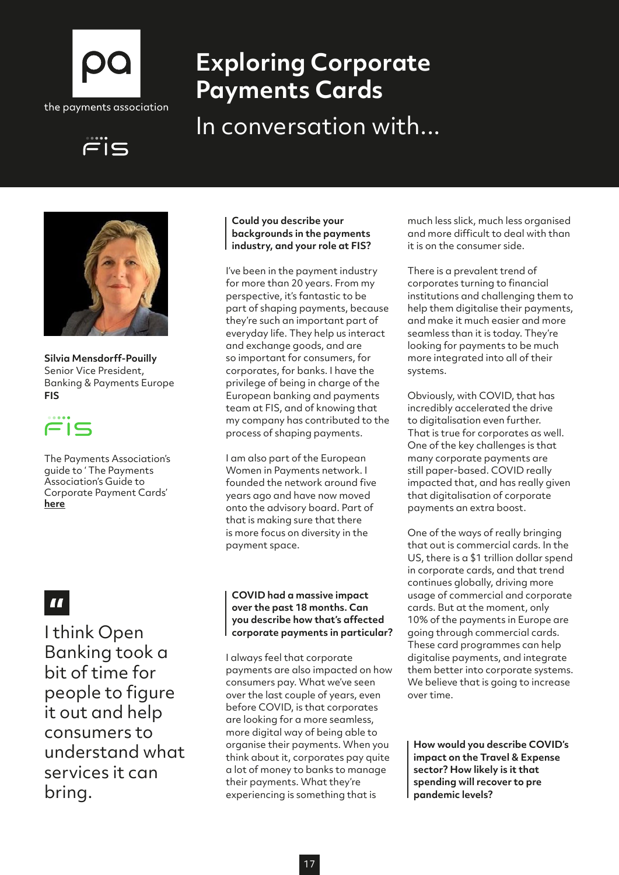

# **Exploring Corporate Payments Cards**

In conversation with...





**Silvia Mensdorff-Pouilly** Senior Vice President, Banking & Payments Europe **FIS**

# $\sqsubset$

The Payments Association's guide to ' The Payments Association's Guide to Corporate Payment Cards' **[here](http://here)**

## $\boldsymbol{H}$

I think Open Banking took a bit of time for people to figure it out and help consumers to understand what services it can bring.

#### **Could you describe your backgrounds in the payments industry, and your role at FIS?**

I've been in the payment industry for more than 20 years. From my perspective, it's fantastic to be part of shaping payments, because they're such an important part of everyday life. They help us interact and exchange goods, and are so important for consumers, for corporates, for banks. I have the privilege of being in charge of the European banking and payments team at FIS, and of knowing that my company has contributed to the process of shaping payments.

I am also part of the European Women in Payments network. I founded the network around five years ago and have now moved onto the advisory board. Part of that is making sure that there is more focus on diversity in the payment space.

#### **COVID had a massive impact over the past 18 months. Can you describe how that's affected corporate payments in particular?**

I always feel that corporate payments are also impacted on how consumers pay. What we've seen over the last couple of years, even before COVID, is that corporates are looking for a more seamless, more digital way of being able to organise their payments. When you think about it, corporates pay quite a lot of money to banks to manage their payments. What they're experiencing is something that is

much less slick, much less organised and more difficult to deal with than it is on the consumer side.

There is a prevalent trend of corporates turning to financial institutions and challenging them to help them digitalise their payments, and make it much easier and more seamless than it is today. They're looking for payments to be much more integrated into all of their systems.

Obviously, with COVID, that has incredibly accelerated the drive to digitalisation even further. That is true for corporates as well. One of the key challenges is that many corporate payments are still paper-based. COVID really impacted that, and has really given that digitalisation of corporate payments an extra boost.

One of the ways of really bringing that out is commercial cards. In the US, there is a \$1 trillion dollar spend in corporate cards, and that trend continues globally, driving more usage of commercial and corporate cards. But at the moment, only 10% of the payments in Europe are going through commercial cards. These card programmes can help digitalise payments, and integrate them better into corporate systems. We believe that is going to increase over time.

**How would you describe COVID's impact on the Travel & Expense sector? How likely is it that spending will recover to pre pandemic levels?**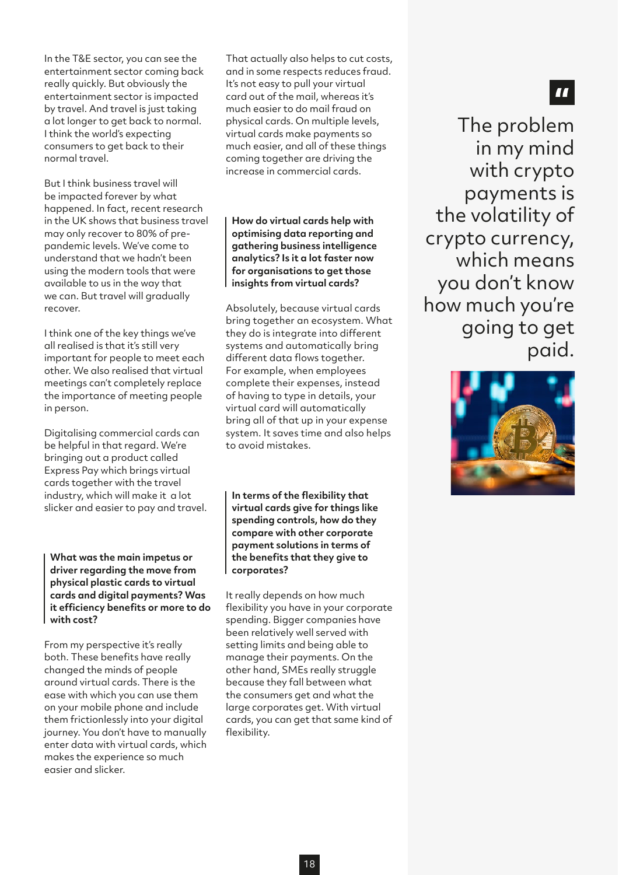In the T&E sector, you can see the entertainment sector coming back really quickly. But obviously the entertainment sector is impacted by travel. And travel is just taking a lot longer to get back to normal. I think the world's expecting consumers to get back to their normal travel.

But I think business travel will be impacted forever by what happened. In fact, recent research in the UK shows that business travel may only recover to 80% of prepandemic levels. We've come to understand that we hadn't been using the modern tools that were available to us in the way that we can. But travel will gradually recover.

I think one of the key things we've all realised is that it's still very important for people to meet each other. We also realised that virtual meetings can't completely replace the importance of meeting people in person.

Digitalising commercial cards can be helpful in that regard. We're bringing out a product called Express Pay which brings virtual cards together with the travel industry, which will make it a lot slicker and easier to pay and travel.

**What was the main impetus or driver regarding the move from physical plastic cards to virtual cards and digital payments? Was it efficiency benefits or more to do with cost?** 

From my perspective it's really both. These benefits have really changed the minds of people around virtual cards. There is the ease with which you can use them on your mobile phone and include them frictionlessly into your digital journey. You don't have to manually enter data with virtual cards, which makes the experience so much easier and slicker.

That actually also helps to cut costs, and in some respects reduces fraud. It's not easy to pull your virtual card out of the mail, whereas it's much easier to do mail fraud on physical cards. On multiple levels, virtual cards make payments so much easier, and all of these things coming together are driving the increase in commercial cards.

**How do virtual cards help with optimising data reporting and gathering business intelligence analytics? Is it a lot faster now for organisations to get those insights from virtual cards?**

Absolutely, because virtual cards bring together an ecosystem. What they do is integrate into different systems and automatically bring different data flows together. For example, when employees complete their expenses, instead of having to type in details, your virtual card will automatically bring all of that up in your expense system. It saves time and also helps to avoid mistakes.

**In terms of the flexibility that virtual cards give for things like spending controls, how do they compare with other corporate payment solutions in terms of the benefits that they give to corporates?**

It really depends on how much flexibility you have in your corporate spending. Bigger companies have been relatively well served with setting limits and being able to manage their payments. On the other hand, SMEs really struggle because they fall between what the consumers get and what the large corporates get. With virtual cards, you can get that same kind of flexibility.

The problem in my mind with crypto payments is the volatility of crypto currency, which means you don't know how much you're going to get paid.



18

## $\blacksquare$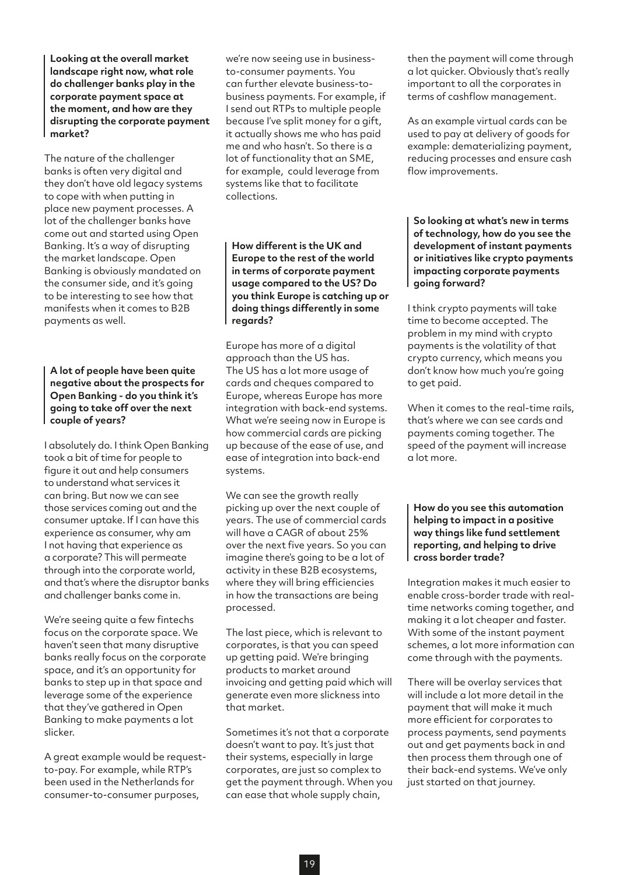**Looking at the overall market landscape right now, what role do challenger banks play in the corporate payment space at the moment, and how are they disrupting the corporate payment market?**

The nature of the challenger banks is often very digital and they don't have old legacy systems to cope with when putting in place new payment processes. A lot of the challenger banks have come out and started using Open Banking. It's a way of disrupting the market landscape. Open Banking is obviously mandated on the consumer side, and it's going to be interesting to see how that manifests when it comes to B2B payments as well.

**A lot of people have been quite negative about the prospects for Open Banking - do you think it's going to take off over the next couple of years?**

I absolutely do. I think Open Banking took a bit of time for people to figure it out and help consumers to understand what services it can bring. But now we can see those services coming out and the consumer uptake. If I can have this experience as consumer, why am I not having that experience as a corporate? This will permeate through into the corporate world, and that's where the disruptor banks and challenger banks come in.

We're seeing quite a few fintechs focus on the corporate space. We haven't seen that many disruptive banks really focus on the corporate space, and it's an opportunity for banks to step up in that space and leverage some of the experience that they've gathered in Open Banking to make payments a lot slicker.

A great example would be requestto-pay. For example, while RTP's been used in the Netherlands for consumer-to-consumer purposes,

we're now seeing use in businessto-consumer payments. You can further elevate business-tobusiness payments. For example, if I send out RTPs to multiple people because I've split money for a gift, it actually shows me who has paid me and who hasn't. So there is a lot of functionality that an SME, for example, could leverage from systems like that to facilitate collections.

**How different is the UK and Europe to the rest of the world in terms of corporate payment usage compared to the US? Do you think Europe is catching up or doing things differently in some regards?**

Europe has more of a digital approach than the US has. The US has a lot more usage of cards and cheques compared to Europe, whereas Europe has more integration with back-end systems. What we're seeing now in Europe is how commercial cards are picking up because of the ease of use, and ease of integration into back-end systems.

We can see the growth really picking up over the next couple of years. The use of commercial cards will have a CAGR of about 25% over the next five years. So you can imagine there's going to be a lot of activity in these B2B ecosystems, where they will bring efficiencies in how the transactions are being processed.

The last piece, which is relevant to corporates, is that you can speed up getting paid. We're bringing products to market around invoicing and getting paid which will generate even more slickness into that market.

Sometimes it's not that a corporate doesn't want to pay. It's just that their systems, especially in large corporates, are just so complex to get the payment through. When you can ease that whole supply chain,

then the payment will come through a lot quicker. Obviously that's really important to all the corporates in terms of cashflow management.

As an example virtual cards can be used to pay at delivery of goods for example: dematerializing payment, reducing processes and ensure cash flow improvements.

**So looking at what's new in terms of technology, how do you see the development of instant payments or initiatives like crypto payments impacting corporate payments going forward?**

I think crypto payments will take time to become accepted. The problem in my mind with crypto payments is the volatility of that crypto currency, which means you don't know how much you're going to get paid.

When it comes to the real-time rails, that's where we can see cards and payments coming together. The speed of the payment will increase a lot more.

#### **How do you see this automation helping to impact in a positive way things like fund settlement reporting, and helping to drive cross border trade?**

Integration makes it much easier to enable cross-border trade with realtime networks coming together, and making it a lot cheaper and faster. With some of the instant payment schemes, a lot more information can come through with the payments.

There will be overlay services that will include a lot more detail in the payment that will make it much more efficient for corporates to process payments, send payments out and get payments back in and then process them through one of their back-end systems. We've only just started on that journey.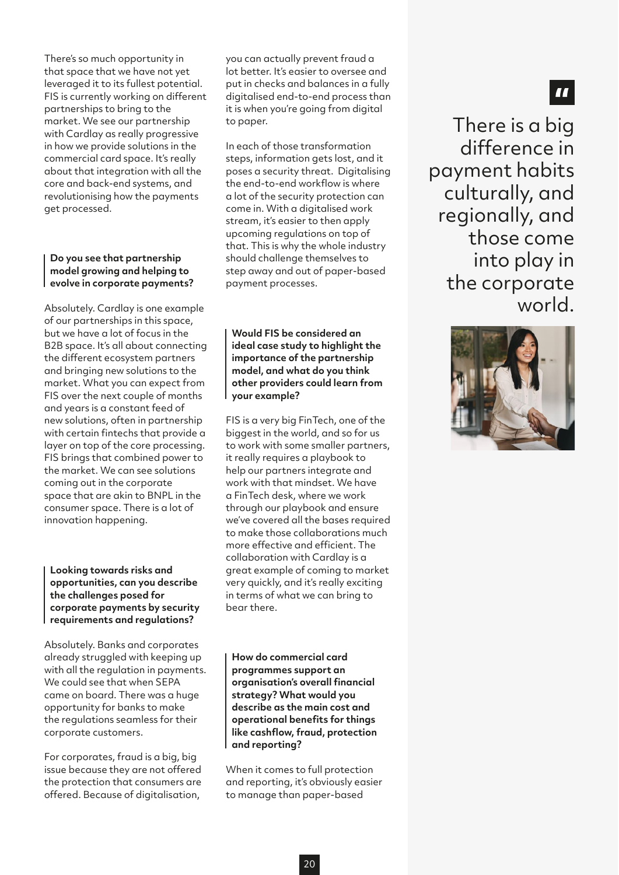There's so much opportunity in that space that we have not yet leveraged it to its fullest potential. FIS is currently working on different partnerships to bring to the market. We see our partnership with Cardlay as really progressive in how we provide solutions in the commercial card space. It's really about that integration with all the core and back-end systems, and revolutionising how the payments get processed.

#### **Do you see that partnership model growing and helping to evolve in corporate payments?**

Absolutely. Cardlay is one example of our partnerships in this space, but we have a lot of focus in the B2B space. It's all about connecting the different ecosystem partners and bringing new solutions to the market. What you can expect from FIS over the next couple of months and years is a constant feed of new solutions, often in partnership with certain fintechs that provide a layer on top of the core processing. FIS brings that combined power to the market. We can see solutions coming out in the corporate space that are akin to BNPL in the consumer space. There is a lot of innovation happening.

**Looking towards risks and opportunities, can you describe the challenges posed for corporate payments by security requirements and regulations?**

Absolutely. Banks and corporates already struggled with keeping up with all the regulation in payments. We could see that when SEPA came on board. There was a huge opportunity for banks to make the regulations seamless for their corporate customers.

For corporates, fraud is a big, big issue because they are not offered the protection that consumers are offered. Because of digitalisation,

you can actually prevent fraud a lot better. It's easier to oversee and put in checks and balances in a fully digitalised end-to-end process than it is when you're going from digital to paper.

In each of those transformation steps, information gets lost, and it poses a security threat. Digitalising the end-to-end workflow is where a lot of the security protection can come in. With a digitalised work stream, it's easier to then apply upcoming regulations on top of that. This is why the whole industry should challenge themselves to step away and out of paper-based payment processes.

**Would FIS be considered an ideal case study to highlight the importance of the partnership model, and what do you think other providers could learn from your example?**

FIS is a very big FinTech, one of the biggest in the world, and so for us to work with some smaller partners, it really requires a playbook to help our partners integrate and work with that mindset. We have a FinTech desk, where we work through our playbook and ensure we've covered all the bases required to make those collaborations much more effective and efficient. The collaboration with Cardlay is a great example of coming to market very quickly, and it's really exciting in terms of what we can bring to bear there.

**How do commercial card programmes support an organisation's overall financial strategy? What would you describe as the main cost and operational benefits for things like cashflow, fraud, protection and reporting?**

When it comes to full protection and reporting, it's obviously easier to manage than paper-based

There is a big difference in payment habits culturally, and regionally, and those come into play in the corporate world.



## $\blacksquare$